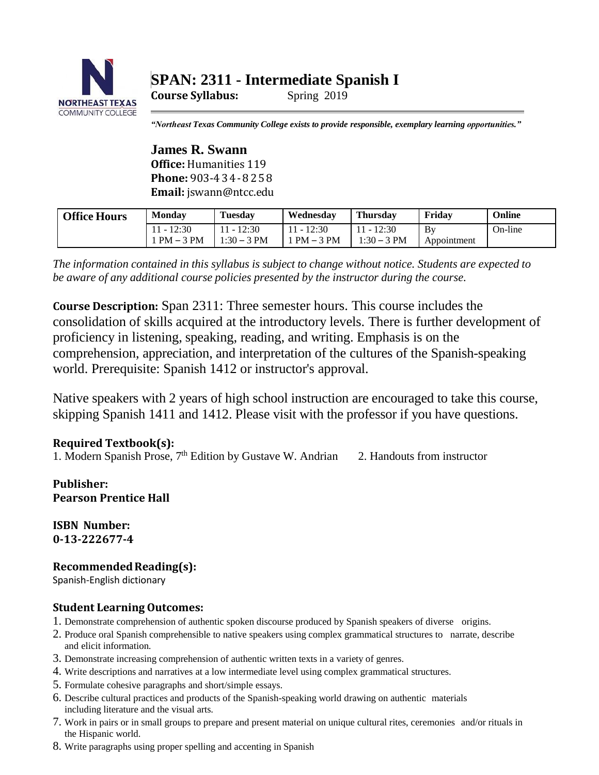

# **SPAN: 2311 - Intermediate Spanish I**

**Course Syllabus:** Spring 2019

*"Northeast Texas Community College exists to provide responsible, exemplary learning opportunities."*

**James R. Swann Office:** Humanities 119 **Phone:** 903-4 3 4-8 2 5 8 **Email:** jswann@ntcc.edu

| <b>Office Hours</b> | Mondav                      | <b>Tuesday</b>           | Wednesdav            | <b>Thursday</b>        | Fridav            | Online  |
|---------------------|-----------------------------|--------------------------|----------------------|------------------------|-------------------|---------|
|                     | $11 - 12:30$<br>$1PM - 3PM$ | - 12:30<br>$1:30 - 3$ PM | 12:30<br>$PM - 3 PM$ | 12:30<br>$1:30 - 3$ PM | By<br>Appointment | On-line |

*The information contained in this syllabus is subject to change without notice. Students are expected to be aware of any additional course policies presented by the instructor during the course.*

**Course Description:** Span 2311: Three semester hours. This course includes the consolidation of skills acquired at the introductory levels. There is further development of proficiency in listening, speaking, reading, and writing. Emphasis is on the comprehension, appreciation, and interpretation of the cultures of the Spanish-speaking world. Prerequisite: Spanish 1412 or instructor's approval.

Native speakers with 2 years of high school instruction are encouraged to take this course, skipping Spanish 1411 and 1412. Please visit with the professor if you have questions.

# **Required Textbook(s):**

1. Modern Spanish Prose, 7<sup>th</sup> Edition by Gustave W. Andrian 2. Handouts from instructor

**Publisher: Pearson Prentice Hall**

**ISBN Number: 0-13-222677-4**

# **Recommended Reading(s):**

Spanish-English dictionary

#### **Student Learning Outcomes:**

- 1. Demonstrate comprehension of authentic spoken discourse produced by Spanish speakers of diverse origins.
- 2. Produce oral Spanish comprehensible to native speakers using complex grammatical structures to narrate, describe and elicit information.
- 3. Demonstrate increasing comprehension of authentic written texts in a variety of genres.
- 4. Write descriptions and narratives at a low intermediate level using complex grammatical structures.
- 5. Formulate cohesive paragraphs and short/simple essays.
- 6. Describe cultural practices and products of the Spanish-speaking world drawing on authentic materials including literature and the visual arts.
- 7. Work in pairs or in small groups to prepare and present material on unique cultural rites, ceremonies and/or rituals in the Hispanic world.
- 8. Write paragraphs using proper spelling and accenting in Spanish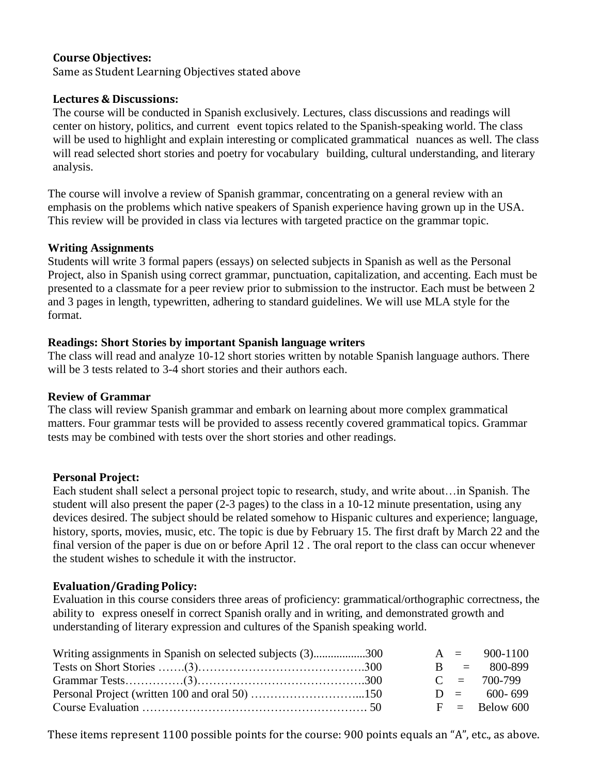# **Course Objectives:**

Same as Student Learning Objectives stated above

#### **Lectures & Discussions:**

The course will be conducted in Spanish exclusively. Lectures, class discussions and readings will center on history, politics, and current event topics related to the Spanish-speaking world. The class will be used to highlight and explain interesting or complicated grammatical nuances as well. The class will read selected short stories and poetry for vocabulary building, cultural understanding, and literary analysis.

The course will involve a review of Spanish grammar, concentrating on a general review with an emphasis on the problems which native speakers of Spanish experience having grown up in the USA. This review will be provided in class via lectures with targeted practice on the grammar topic.

#### **Writing Assignments**

Students will write 3 formal papers (essays) on selected subjects in Spanish as well as the Personal Project, also in Spanish using correct grammar, punctuation, capitalization, and accenting. Each must be presented to a classmate for a peer review prior to submission to the instructor. Each must be between 2 and 3 pages in length, typewritten, adhering to standard guidelines. We will use MLA style for the format.

# **Readings: Short Stories by important Spanish language writers**

The class will read and analyze 10-12 short stories written by notable Spanish language authors. There will be 3 tests related to 3-4 short stories and their authors each.

# **Review of Grammar**

The class will review Spanish grammar and embark on learning about more complex grammatical matters. Four grammar tests will be provided to assess recently covered grammatical topics. Grammar tests may be combined with tests over the short stories and other readings.

# **Personal Project:**

Each student shall select a personal project topic to research, study, and write about…in Spanish. The student will also present the paper (2-3 pages) to the class in a 10-12 minute presentation, using any devices desired. The subject should be related somehow to Hispanic cultures and experience; language, history, sports, movies, music, etc. The topic is due by February 15. The first draft by March 22 and the final version of the paper is due on or before April 12 . The oral report to the class can occur whenever the student wishes to schedule it with the instructor.

# **Evaluation/Grading Policy:**

Evaluation in this course considers three areas of proficiency: grammatical/orthographic correctness, the ability to express oneself in correct Spanish orally and in writing, and demonstrated growth and understanding of literary expression and cultures of the Spanish speaking world.

| Writing assignments in Spanish on selected subjects (3)300 |  | $A = 900-1100$  |
|------------------------------------------------------------|--|-----------------|
|                                                            |  | $B = 800-899$   |
|                                                            |  | $C = 700-799$   |
|                                                            |  | $D = 600 - 699$ |
|                                                            |  | $F =$ Below 600 |

These items represent 1100 possible points for the course: 900 points equals an "A", etc., as above.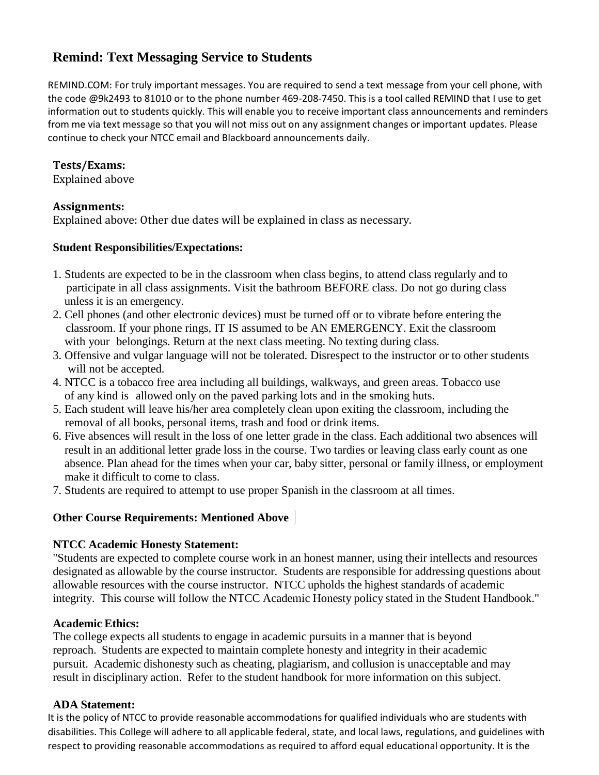# **Remind: Text Messaging Service to Students**

REMIND.COM: For truly important messages. You are required to send a text message from your cell phone, with the code @9k2493 to 81010 or to the phone number 469-208-7450. This is a tool called REMIND that I use to get information out to students quickly. This will enable you to receive important class announcements and reminders from me via text message so that you will not miss out on any assignment changes or important updates. Please continue to check your NTCC email and Blackboard announcements daily.

#### **Tests/Exams:**

Explained above

# **Assignments:**

Explained above: Other due dates will be explained in class as necessary.

#### **Student Responsibilities/Expectations:**

- 1. Students are expected to be in the classroom when class begins, to attend class regularly and to participate in all class assignments. Visit the bathroom BEFORE class. Do not go during class unless it is an emergency.
- 2. Cell phones (and other electronic devices) must be turned off or to vibrate before entering the classroom. If your phone rings, IT IS assumed to be AN EMERGENCY. Exit the classroom with your belongings. Return at the next class meeting. No texting during class.
- 3. Offensive and vulgar language will not be tolerated. Disrespect to the instructor or to other students will not be accepted.
- 4. NTCC is a tobacco free area including all buildings, walkways, and green areas. Tobacco use of any kind is allowed only on the paved parking lots and in the smoking huts.
- 5. Each student will leave his/her area completely clean upon exiting the classroom, including the removal of all books, personal items, trash and food or drink items.
- 6. Five absences will result in the loss of one letter grade in the class. Each additional two absences will result in an additional letter grade loss in the course. Two tardies or leaving class early count as one absence. Plan ahead for the times when your car, baby sitter, personal or family illness, or employment make it difficult to come to class.
- 7. Students are required to attempt to use proper Spanish in the classroom at all times.

# **Other Course Requirements: Mentioned Above**

#### **NTCC Academic Honesty Statement:**

"Students are expected to complete course work in an honest manner, using their intellects and resources designated as allowable by the course instructor. Students are responsible for addressing questions about allowable resources with the course instructor. NTCC upholds the highest standards of academic integrity. This course will follow the NTCC Academic Honesty policy stated in the Student Handbook."

#### **Academic Ethics:**

The college expects all students to engage in academic pursuits in a manner that is beyond reproach. Students are expected to maintain complete honesty and integrity in their academic pursuit. Academic dishonesty such as cheating, plagiarism, and collusion is unacceptable and may result in disciplinary action. Refer to the student handbook for more information on this subject.

# **ADA Statement:**

It is the policy of NTCC to provide reasonable accommodations for qualified individuals who are students with disabilities. This College will adhere to all applicable federal, state, and local laws, regulations, and guidelines with respect to providing reasonable accommodations as required to afford equal educational opportunity. It is the